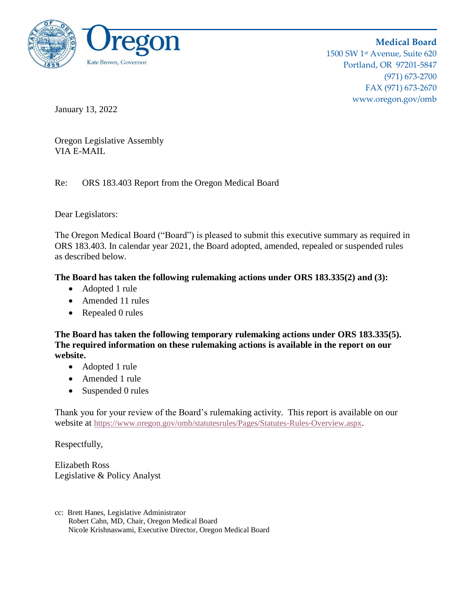

**Medical Board** 1500 SW 1st Avenue, Suite 620 Portland, OR 97201-5847 (971) 673-2700 FAX (971) 673-2670 www.oregon.gov/omb

January 13, 2022

Oregon Legislative Assembly VIA E-MAIL

Re: ORS 183.403 Report from the Oregon Medical Board

Dear Legislators:

The Oregon Medical Board ("Board") is pleased to submit this executive summary as required in ORS 183.403. In calendar year 2021, the Board adopted, amended, repealed or suspended rules as described below.

**The Board has taken the following rulemaking actions under ORS 183.335(2) and (3):**

- Adopted 1 rule
- Amended 11 rules
- Repealed 0 rules

**The Board has taken the following temporary rulemaking actions under ORS 183.335(5). The required information on these rulemaking actions is available in the report on our website.**

- Adopted 1 rule
- Amended 1 rule
- Suspended 0 rules

Thank you for your review of the Board's rulemaking activity. This report is available on our website at [https://www.oregon.gov/omb/statutesrules/Pages/Statutes-Rules-Overview.aspx.](https://www.oregon.gov/omb/statutesrules/Pages/Statutes-Rules-Overview.aspx)

Respectfully,

Elizabeth Ross Legislative & Policy Analyst

cc: Brett Hanes, Legislative Administrator Robert Cahn, MD, Chair, Oregon Medical Board Nicole Krishnaswami, Executive Director, Oregon Medical Board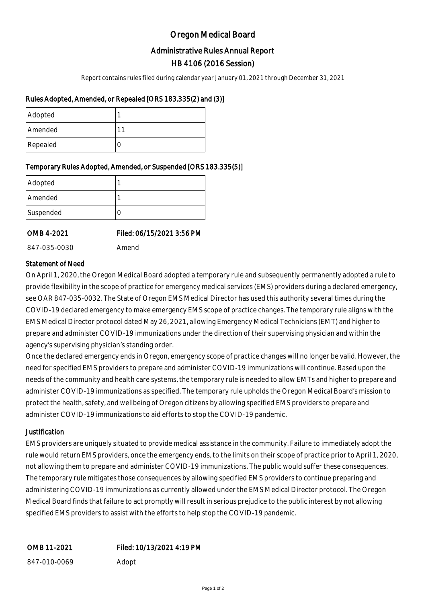# Oregon Medical Board

## Administrative Rules Annual Report

## HB 4106 (2016 Session)

Report contains rules filed during calendar year January 01, 2021 through December 31, 2021

### Rules Adopted, Amended, or Repealed [ORS 183.335(2) and (3)]

| Adopted  |  |
|----------|--|
| Amended  |  |
| Repealed |  |

### Temporary Rules Adopted, Amended, or Suspended [ORS 183.335(5)]

| Adopted   |  |
|-----------|--|
| Amended   |  |
| Suspended |  |

OMB 4-2021 Filed: 06/15/2021 3:56 PM

847-035-0030 Amend

Statement of Need

On April 1, 2020, the Oregon Medical Board adopted a temporary rule and subsequently permanently adopted a rule to provide flexibility in the scope of practice for emergency medical services (EMS) providers during a declared emergency, see OAR 847-035-0032. The State of Oregon EMS Medical Director has used this authority several times during the COVID-19 declared emergency to make emergency EMS scope of practice changes. The temporary rule aligns with the EMS Medical Director protocol dated May 26, 2021, allowing Emergency Medical Technicians (EMT) and higher to prepare and administer COVID-19 immunizations under the direction of their supervising physician and within the agency's supervising physician's standing order.

Once the declared emergency ends in Oregon, emergency scope of practice changes will no longer be valid. However, the need for specified EMS providers to prepare and administer COVID-19 immunizations will continue. Based upon the needs of the community and health care systems, the temporary rule is needed to allow EMTs and higher to prepare and administer COVID-19 immunizations as specified. The temporary rule upholds the Oregon Medical Board's mission to protect the health, safety, and wellbeing of Oregon citizens by allowing specified EMS providers to prepare and administer COVID-19 immunizations to aid efforts to stop the COVID-19 pandemic.

### **Justification**

EMS providers are uniquely situated to provide medical assistance in the community. Failure to immediately adopt the rule would return EMS providers, once the emergency ends, to the limits on their scope of practice prior to April 1, 2020, not allowing them to prepare and administer COVID-19 immunizations. The public would suffer these consequences. The temporary rule mitigates those consequences by allowing specified EMS providers to continue preparing and administering COVID-19 immunizations as currently allowed under the EMS Medical Director protocol. The Oregon Medical Board finds that failure to act promptly will result in serious prejudice to the public interest by not allowing specified EMS providers to assist with the efforts to help stop the COVID-19 pandemic.

| OMB 11-2021  | Filed: 10/13/2021 4:19 PM |
|--------------|---------------------------|
| 847-010-0069 | Adopt                     |